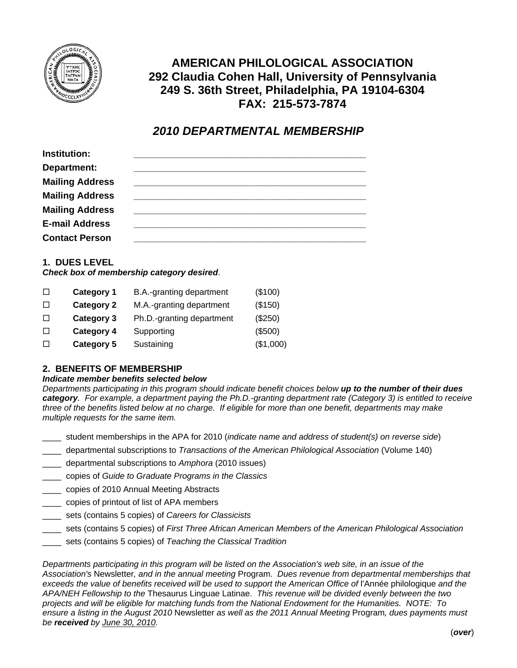

# **AMERICAN PHILOLOGICAL ASSOCIATION 292 Claudia Cohen Hall, University of Pennsylvania 249 S. 36th Street, Philadelphia, PA 19104-6304 FAX: 215-573-7874**

# *2010 DEPARTMENTAL MEMBERSHIP*

| Institution:           |  |
|------------------------|--|
| Department:            |  |
| <b>Mailing Address</b> |  |
| <b>Mailing Address</b> |  |
| <b>Mailing Address</b> |  |
| <b>E-mail Address</b>  |  |
| <b>Contact Person</b>  |  |

# **1. DUES LEVEL**

#### *Check box of membership category desired*.

| <b>Category 1</b> | B.A.-granting department  | (\$100)   |
|-------------------|---------------------------|-----------|
| <b>Category 2</b> | M.A.-granting department  | (\$150)   |
| Category 3        | Ph.D.-granting department | (\$250)   |
| <b>Category 4</b> | Supporting                | (\$500)   |
| <b>Category 5</b> | Sustaining                | (\$1,000) |
|                   |                           |           |

# **2. BENEFITS OF MEMBERSHIP**

#### *Indicate member benefits selected below*

*Departments participating in this program should indicate benefit choices below up to the number of their dues category. For example, a department paying the Ph.D.-granting department rate (Category 3) is entitled to receive three of the benefits listed below at no charge. If eligible for more than one benefit, departments may make multiple requests for the same item.* 

- \_\_\_\_ student memberships in the APA for 2010 (*indicate name and address of student(s) on reverse side*)
- \_\_\_\_ departmental subscriptions to *Transactions of the American Philological Association* (Volume 140)
- \_\_\_\_ departmental subscriptions to *Amphora* (2010 issues)
- \_\_\_\_ copies of *Guide to Graduate Programs in the Classics*
- \_\_\_\_ copies of 2010 Annual Meeting Abstracts
- \_\_\_\_ copies of printout of list of APA members
- \_\_\_\_ sets (contains 5 copies) of *Careers for Classicists*
- \_\_\_\_ sets (contains 5 copies) of *First Three African American Members of the American Philological Association*
- \_\_\_\_ sets (contains 5 copies) of *Teaching the Classical Tradition*

*Departments participating in this program will be listed on the Association's web site, in an issue of the Association's* Newsletter*, and in the annual meeting* Program. *Dues revenue from departmental memberships that exceeds the value of benefits received will be used to support the American Office of* l'Année philologique *and the APA/NEH Fellowship to the* Thesaurus Linguae Latinae. *This revenue will be divided evenly between the two projects and will be eligible for matching funds from the National Endowment for the Humanities. NOTE: To ensure a listing in the August 2010* Newsletter *as well as the 2011 Annual Meeting* Program*, dues payments must be received by June 30, 2010.*